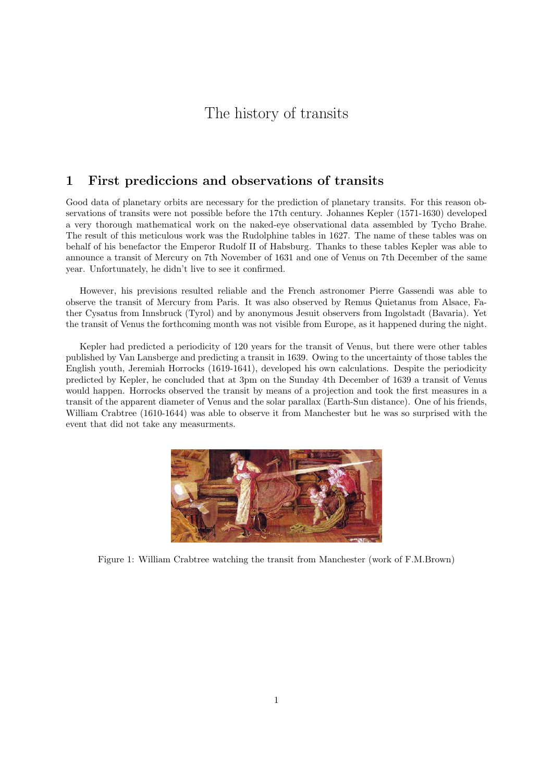# The history of transits

### 1 First prediccions and observations of transits

Good data of planetary orbits are necessary for the prediction of planetary transits. For this reason observations of transits were not possible before the 17th century. Johannes Kepler (1571-1630) developed a very thorough mathematical work on the naked-eye observational data assembled by Tycho Brahe. The result of this meticulous work was the Rudolphine tables in 1627. The name of these tables was on behalf of his benefactor the Emperor Rudolf II of Habsburg. Thanks to these tables Kepler was able to announce a transit of Mercury on 7th November of 1631 and one of Venus on 7th December of the same year. Unfortunately, he didn't live to see it confirmed.

However, his previsions resulted reliable and the French astronomer Pierre Gassendi was able to observe the transit of Mercury from Paris. It was also observed by Remus Quietanus from Alsace, Father Cysatus from Innsbruck (Tyrol) and by anonymous Jesuit observers from Ingolstadt (Bavaria). Yet the transit of Venus the forthcoming month was not visible from Europe, as it happened during the night.

Kepler had predicted a periodicity of 120 years for the transit of Venus, but there were other tables published by Van Lansberge and predicting a transit in 1639. Owing to the uncertainty of those tables the English youth, Jeremiah Horrocks (1619-1641), developed his own calculations. Despite the periodicity predicted by Kepler, he concluded that at 3pm on the Sunday 4th December of 1639 a transit of Venus would happen. Horrocks observed the transit by means of a projection and took the first measures in a transit of the apparent diameter of Venus and the solar parallax (Earth-Sun distance). One of his friends, William Crabtree (1610-1644) was able to observe it from Manchester but he was so surprised with the event that did not take any measurments.



Figure 1: William Crabtree watching the transit from Manchester (work of F.M.Brown)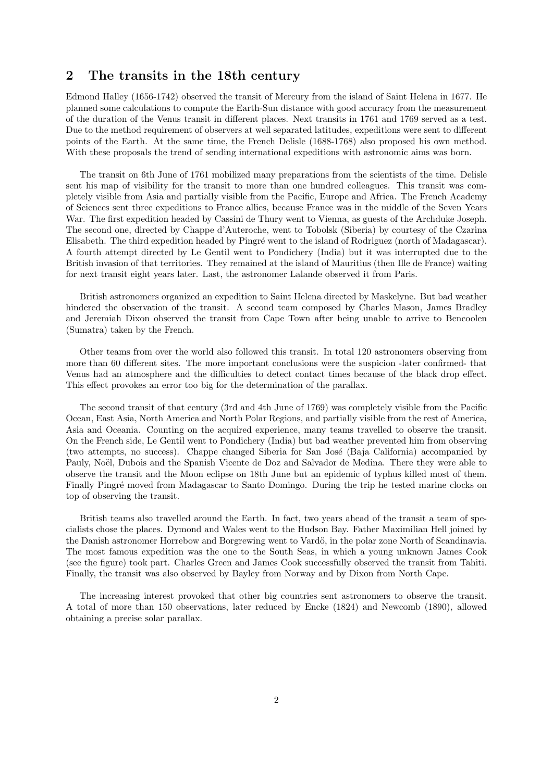#### 2 The transits in the 18th century

Edmond Halley (1656-1742) observed the transit of Mercury from the island of Saint Helena in 1677. He planned some calculations to compute the Earth-Sun distance with good accuracy from the measurement of the duration of the Venus transit in different places. Next transits in 1761 and 1769 served as a test. Due to the method requirement of observers at well separated latitudes, expeditions were sent to different points of the Earth. At the same time, the French Delisle (1688-1768) also proposed his own method. With these proposals the trend of sending international expeditions with astronomic aims was born.

The transit on 6th June of 1761 mobilized many preparations from the scientists of the time. Delisle sent his map of visibility for the transit to more than one hundred colleagues. This transit was completely visible from Asia and partially visible from the Pacific, Europe and Africa. The French Academy of Sciences sent three expeditions to France allies, because France was in the middle of the Seven Years War. The first expedition headed by Cassini de Thury went to Vienna, as guests of the Archduke Joseph. The second one, directed by Chappe d'Auteroche, went to Tobolsk (Siberia) by courtesy of the Czarina Elisabeth. The third expedition headed by Pingré went to the island of Rodriguez (north of Madagascar). A fourth attempt directed by Le Gentil went to Pondichery (India) but it was interrupted due to the British invasion of that territories. They remained at the island of Mauritius (then Ille de France) waiting for next transit eight years later. Last, the astronomer Lalande observed it from Paris.

British astronomers organized an expedition to Saint Helena directed by Maskelyne. But bad weather hindered the observation of the transit. A second team composed by Charles Mason, James Bradley and Jeremiah Dixon observed the transit from Cape Town after being unable to arrive to Bencoolen (Sumatra) taken by the French.

Other teams from over the world also followed this transit. In total 120 astronomers observing from more than 60 different sites. The more important conclusions were the suspicion -later confirmed- that Venus had an atmosphere and the difficulties to detect contact times because of the black drop effect. This effect provokes an error too big for the determination of the parallax.

The second transit of that century (3rd and 4th June of 1769) was completely visible from the Pacific Ocean, East Asia, North America and North Polar Regions, and partially visible from the rest of America, Asia and Oceania. Counting on the acquired experience, many teams travelled to observe the transit. On the French side, Le Gentil went to Pondichery (India) but bad weather prevented him from observing (two attempts, no success). Chappe changed Siberia for San José (Baja California) accompanied by Pauly, Noël, Dubois and the Spanish Vicente de Doz and Salvador de Medina. There they were able to observe the transit and the Moon eclipse on 18th June but an epidemic of typhus killed most of them. Finally Pingré moved from Madagascar to Santo Domingo. During the trip he tested marine clocks on top of observing the transit.

British teams also travelled around the Earth. In fact, two years ahead of the transit a team of specialists chose the places. Dymond and Wales went to the Hudson Bay. Father Maximilian Hell joined by the Danish astronomer Horrebow and Borgrewing went to Vardö, in the polar zone North of Scandinavia. The most famous expedition was the one to the South Seas, in which a young unknown James Cook (see the figure) took part. Charles Green and James Cook successfully observed the transit from Tahiti. Finally, the transit was also observed by Bayley from Norway and by Dixon from North Cape.

The increasing interest provoked that other big countries sent astronomers to observe the transit. A total of more than 150 observations, later reduced by Encke (1824) and Newcomb (1890), allowed obtaining a precise solar parallax.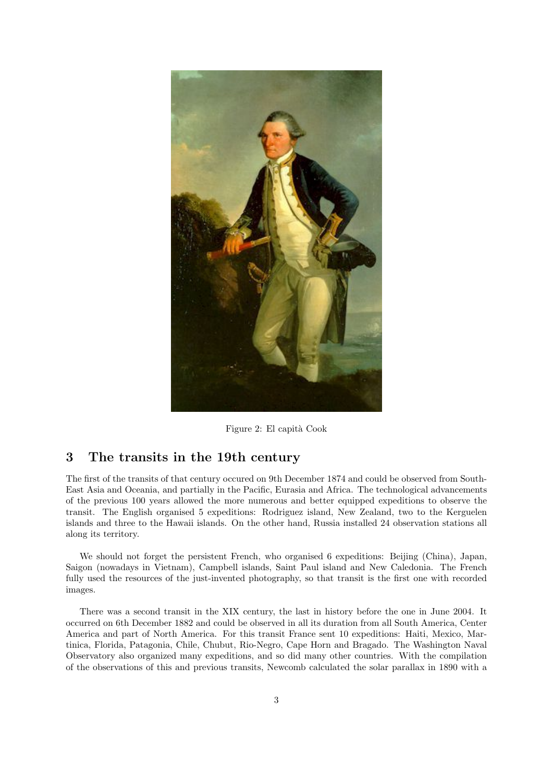

Figure 2: El capità Cook

#### 3 The transits in the 19th century

The first of the transits of that century occured on 9th December 1874 and could be observed from South-East Asia and Oceania, and partially in the Pacific, Eurasia and Africa. The technological advancements of the previous 100 years allowed the more numerous and better equipped expeditions to observe the transit. The English organised 5 expeditions: Rodriguez island, New Zealand, two to the Kerguelen islands and three to the Hawaii islands. On the other hand, Russia installed 24 observation stations all along its territory.

We should not forget the persistent French, who organised 6 expeditions: Beijing (China), Japan, Saigon (nowadays in Vietnam), Campbell islands, Saint Paul island and New Caledonia. The French fully used the resources of the just-invented photography, so that transit is the first one with recorded images.

There was a second transit in the XIX century, the last in history before the one in June 2004. It occurred on 6th December 1882 and could be observed in all its duration from all South America, Center America and part of North America. For this transit France sent 10 expeditions: Haiti, Mexico, Martinica, Florida, Patagonia, Chile, Chubut, Rio-Negro, Cape Horn and Bragado. The Washington Naval Observatory also organized many expeditions, and so did many other countries. With the compilation of the observations of this and previous transits, Newcomb calculated the solar parallax in 1890 with a